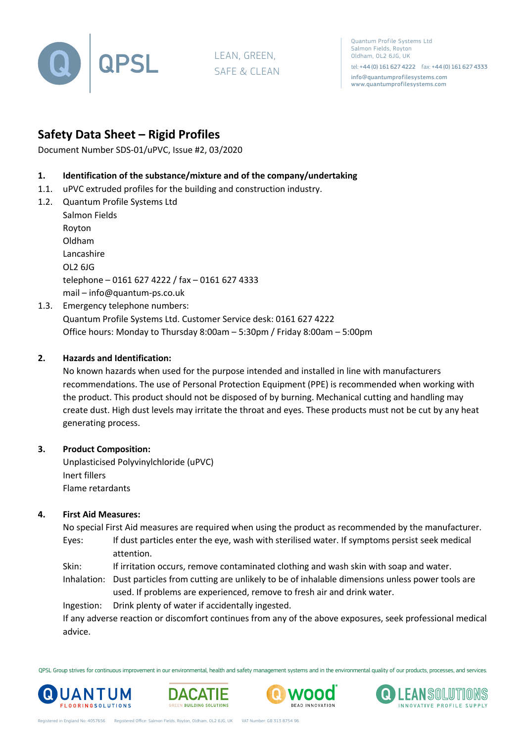

LEAN, GREEN, SAFE & CLEAN

Quantum Profile Systems Ltd Salmon Fields, Royton Oldham, OL2 6JG, UK

tel: +44 (0) 161 627 4222 fax: +44 (0) 161 627 4333 info@quantumprofilesystems.com www.quantumprofilesystems.com

# **Safety Data Sheet – Rigid Profiles**

Document Number SDS-01/uPVC, Issue #2, 03/2020

## **1. Identification of the substance/mixture and of the company/undertaking**

- 1.1. uPVC extruded profiles for the building and construction industry.
- 1.2. Quantum Profile Systems Ltd

Salmon Fields Royton Oldham Lancashire OL2 6JG telephone – 0161 627 4222 / fax – 0161 627 4333 mail – info@quantum-ps.co.uk

1.3. Emergency telephone numbers:

Quantum Profile Systems Ltd. Customer Service desk: 0161 627 4222 Office hours: Monday to Thursday 8:00am – 5:30pm / Friday 8:00am – 5:00pm

## **2. Hazards and Identification:**

No known hazards when used for the purpose intended and installed in line with manufacturers recommendations. The use of Personal Protection Equipment (PPE) is recommended when working with the product. This product should not be disposed of by burning. Mechanical cutting and handling may create dust. High dust levels may irritate the throat and eyes. These products must not be cut by any heat generating process.

#### **3. Product Composition:**

Unplasticised Polyvinylchloride (uPVC) Inert fillers Flame retardants

#### **4. First Aid Measures:**

No special First Aid measures are required when using the product as recommended by the manufacturer. Eyes: If dust particles enter the eye, wash with sterilised water. If symptoms persist seek medical attention.

Skin: If irritation occurs, remove contaminated clothing and wash skin with soap and water.

Inhalation: Dust particles from cutting are unlikely to be of inhalable dimensions unless power tools are used. If problems are experienced, remove to fresh air and drink water.

Ingestion: Drink plenty of water if accidentally ingested.

If any adverse reaction or discomfort continues from any of the above exposures, seek professional medical advice.

QPSL Group strives for continuous improvement in our environmental, health and safety management systems and in the environmental quality of our products, processes, and services.







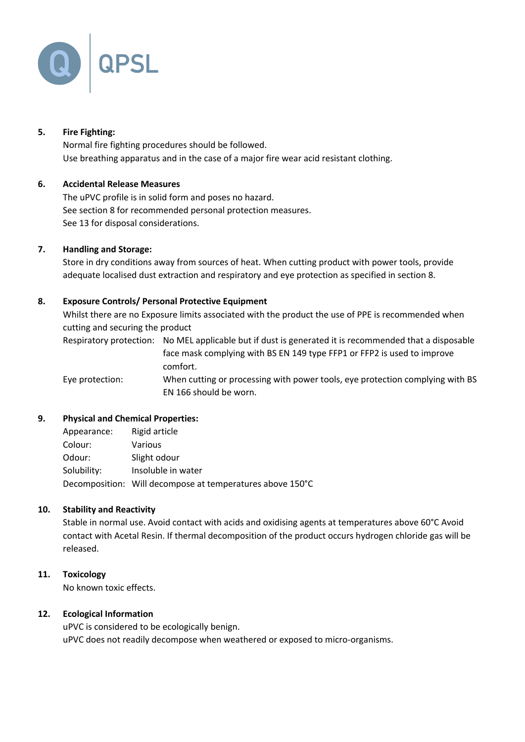

## **5. Fire Fighting:**

Normal fire fighting procedures should be followed. Use breathing apparatus and in the case of a major fire wear acid resistant clothing.

## **6. Accidental Release Measures**

The uPVC profile is in solid form and poses no hazard. See section 8 for recommended personal protection measures. See 13 for disposal considerations.

#### **7. Handling and Storage:**

Store in dry conditions away from sources of heat. When cutting product with power tools, provide adequate localised dust extraction and respiratory and eye protection as specified in section 8.

## **8. Exposure Controls/ Personal Protective Equipment**

Whilst there are no Exposure limits associated with the product the use of PPE is recommended when cutting and securing the product

Respiratory protection: No MEL applicable but if dust is generated it is recommended that a disposable face mask complying with BS EN 149 type FFP1 or FFP2 is used to improve comfort.

Eye protection: When cutting or processing with power tools, eye protection complying with BS EN 166 should be worn.

#### **9. Physical and Chemical Properties:**

| Appearance: | Rigid article                                             |
|-------------|-----------------------------------------------------------|
| Colour:     | Various                                                   |
| Odour:      | Slight odour                                              |
| Solubility: | Insoluble in water                                        |
|             | Decomposition: Will decompose at temperatures above 150°C |

#### **10. Stability and Reactivity**

Stable in normal use. Avoid contact with acids and oxidising agents at temperatures above 60°C Avoid contact with Acetal Resin. If thermal decomposition of the product occurs hydrogen chloride gas will be released.

#### **11. Toxicology**

No known toxic effects.

#### **12. Ecological Information**

uPVC is considered to be ecologically benign. uPVC does not readily decompose when weathered or exposed to micro-organisms.